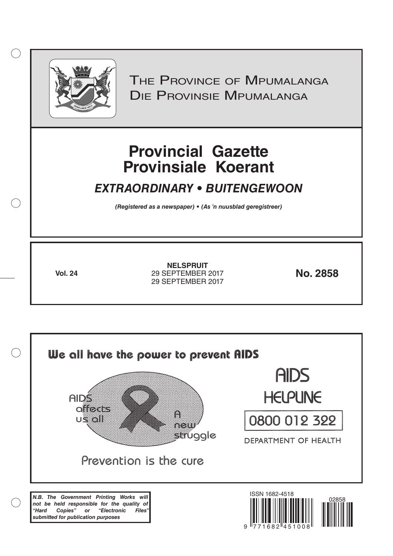

 $( )$ 

THE PROVINCE OF MPUMALANGA Die Provinsie Mpumalanga

# **Provincial Gazette Provinsiale Koerant**

# *EXTRAORDINARY • BUITENGEWOON*

*(Registered as a newspaper) • (As 'n nuusblad geregistreer)*

**Vol. 24 No. 2858** 29 SEPTEMBER 2017 **NELSPRUIT** 29 SEPTEMBER 2017

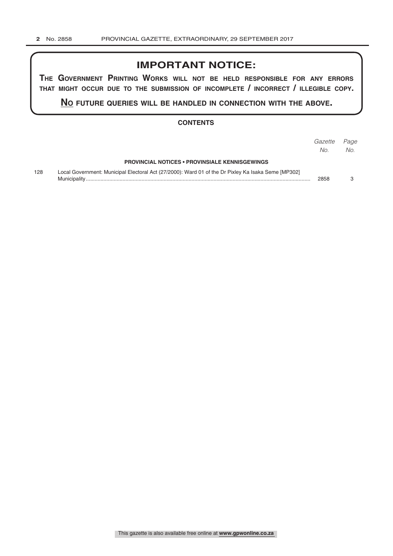## **IMPORTANT NOTICE:**

**The GovernmenT PrinTinG Works Will noT be held resPonsible for any errors ThaT miGhT occur due To The submission of incomPleTe / incorrecT / illeGible coPy.**

**no fuTure queries Will be handled in connecTion WiTh The above.**

#### **CONTENTS**

|     |                                                                                                     | Gazette<br>No. | Page<br>No. |
|-----|-----------------------------------------------------------------------------------------------------|----------------|-------------|
|     | <b>PROVINCIAL NOTICES • PROVINSIALE KENNISGEWINGS</b>                                               |                |             |
| 128 | Local Government: Municipal Electoral Act (27/2000): Ward 01 of the Dr Pixley Ka Isaka Seme [MP302] | 2858           |             |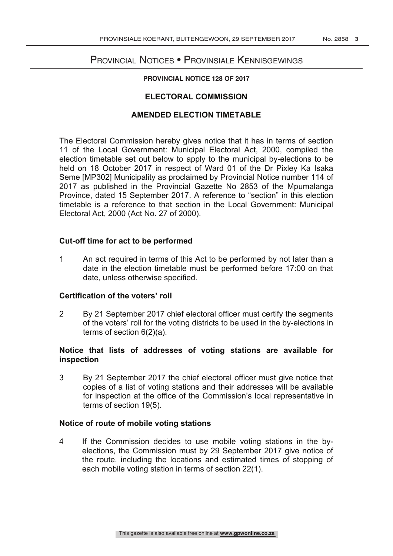### Provincial Notices • Provinsiale Kennisgewings

#### **PROVINCIAL NOTICE 128 OF 2017**

#### **ELECTORAL COMMISSION**

#### **AMENDED ELECTION TIMETABLE**

The Electoral Commission hereby gives notice that it has in terms of section 11 of the Local Government: Municipal Electoral Act, 2000, compiled the election timetable set out below to apply to the municipal by-elections to be held on 18 October 2017 in respect of Ward 01 of the Dr Pixley Ka Isaka Seme [MP302] Municipality as proclaimed by Provincial Notice number 114 of 2017 as published in the Provincial Gazette No 2853 of the Mpumalanga Province, dated 15 September 2017. A reference to "section" in this election timetable is a reference to that section in the Local Government: Municipal Electoral Act, 2000 (Act No. 27 of 2000).

#### **Cut-off time for act to be performed**

1 An act required in terms of this Act to be performed by not later than a date in the election timetable must be performed before 17:00 on that date, unless otherwise specified.

#### **Certification of the voters' roll**

2 By 21 September 2017 chief electoral officer must certify the segments of the voters' roll for the voting districts to be used in the by-elections in terms of section 6(2)(a).

#### **Notice that lists of addresses of voting stations are available for inspection**

3 By 21 September 2017 the chief electoral officer must give notice that copies of a list of voting stations and their addresses will be available for inspection at the office of the Commission's local representative in terms of section 19(5).

#### **Notice of route of mobile voting stations**

4 If the Commission decides to use mobile voting stations in the byelections, the Commission must by 29 September 2017 give notice of the route, including the locations and estimated times of stopping of each mobile voting station in terms of section 22(1).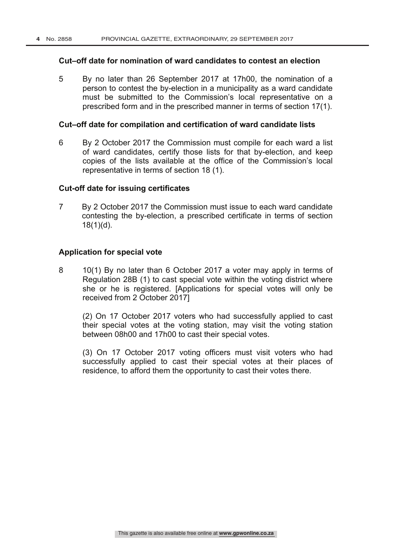#### **Cut–off date for nomination of ward candidates to contest an election**

5 By no later than 26 September 2017 at 17h00, the nomination of a person to contest the by-election in a municipality as a ward candidate must be submitted to the Commission's local representative on a prescribed form and in the prescribed manner in terms of section 17(1).

#### **Cut–off date for compilation and certification of ward candidate lists**

6 By 2 October 2017 the Commission must compile for each ward a list of ward candidates, certify those lists for that by-election, and keep copies of the lists available at the office of the Commission's local representative in terms of section 18 (1).

#### **Cut-off date for issuing certificates**

7 By 2 October 2017 the Commission must issue to each ward candidate contesting the by-election, a prescribed certificate in terms of section 18(1)(d).

#### **Application for special vote**

8 10(1) By no later than 6 October 2017 a voter may apply in terms of Regulation 28B (1) to cast special vote within the voting district where she or he is registered. [Applications for special votes will only be received from 2 October 2017]

(2) On 17 October 2017 voters who had successfully applied to cast their special votes at the voting station, may visit the voting station between 08h00 and 17h00 to cast their special votes.

(3) On 17 October 2017 voting officers must visit voters who had successfully applied to cast their special votes at their places of residence, to afford them the opportunity to cast their votes there.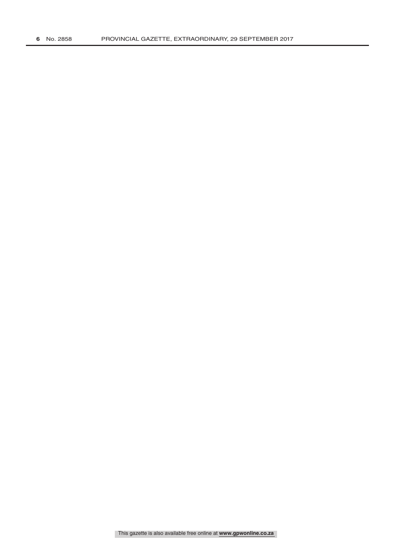This gazette is also available free online at **www.gpwonline.co.za**